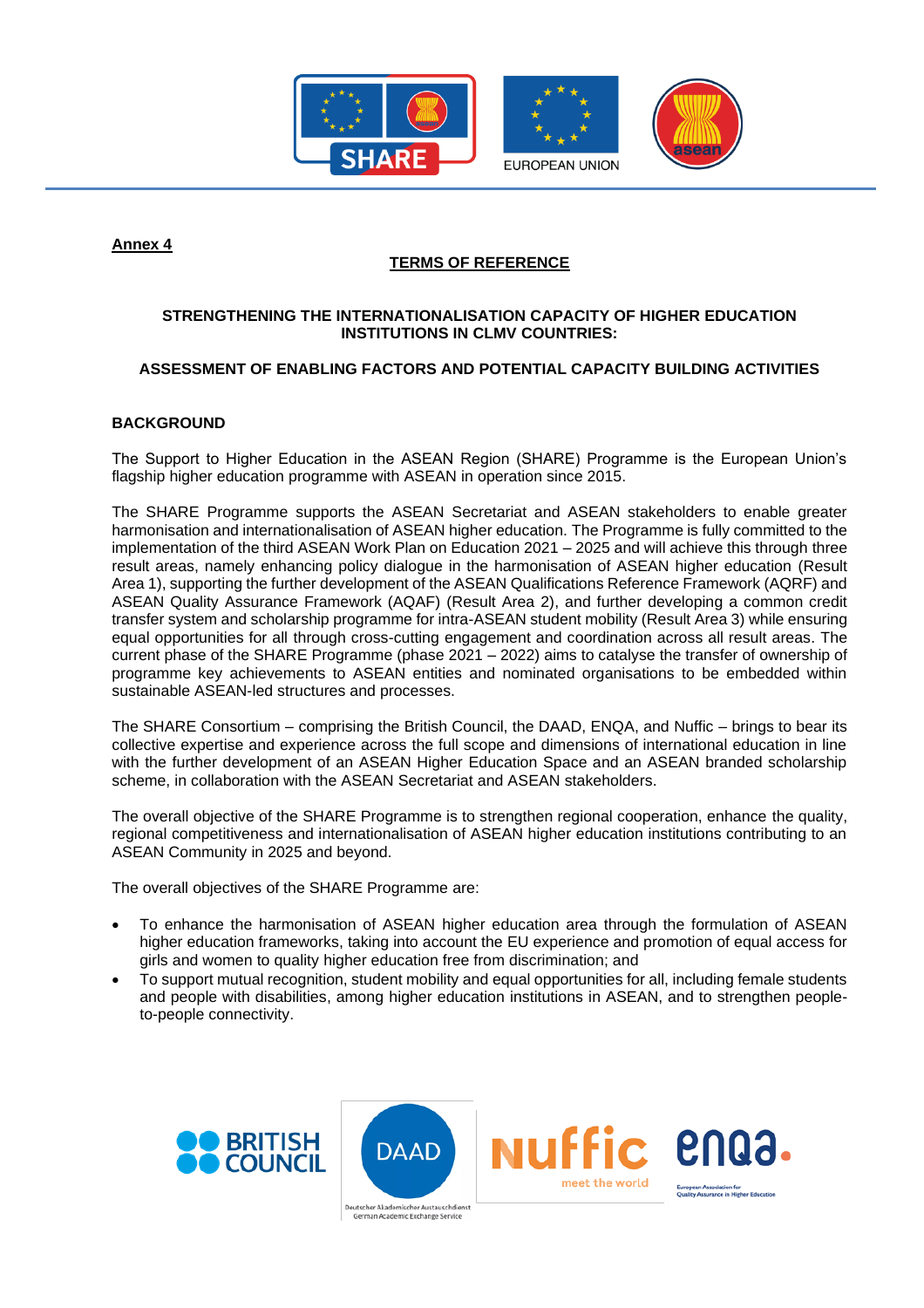

**Annex 4**

# **TERMS OF REFERENCE**

# **STRENGTHENING THE INTERNATIONALISATION CAPACITY OF HIGHER EDUCATION INSTITUTIONS IN CLMV COUNTRIES:**

# **ASSESSMENT OF ENABLING FACTORS AND POTENTIAL CAPACITY BUILDING ACTIVITIES**

# **BACKGROUND**

The Support to Higher Education in the ASEAN Region (SHARE) Programme is the European Union's flagship higher education programme with ASEAN in operation since 2015.

The SHARE Programme supports the ASEAN Secretariat and ASEAN stakeholders to enable greater harmonisation and internationalisation of ASEAN higher education. The Programme is fully committed to the implementation of the third ASEAN Work Plan on Education 2021 – 2025 and will achieve this through three result areas, namely enhancing policy dialogue in the harmonisation of ASEAN higher education (Result Area 1), supporting the further development of the ASEAN Qualifications Reference Framework (AQRF) and ASEAN Quality Assurance Framework (AQAF) (Result Area 2), and further developing a common credit transfer system and scholarship programme for intra-ASEAN student mobility (Result Area 3) while ensuring equal opportunities for all through cross-cutting engagement and coordination across all result areas. The current phase of the SHARE Programme (phase 2021 – 2022) aims to catalyse the transfer of ownership of programme key achievements to ASEAN entities and nominated organisations to be embedded within sustainable ASEAN-led structures and processes.

The SHARE Consortium – comprising the British Council, the DAAD, ENQA, and Nuffic – brings to bear its collective expertise and experience across the full scope and dimensions of international education in line with the further development of an ASEAN Higher Education Space and an ASEAN branded scholarship scheme, in collaboration with the ASEAN Secretariat and ASEAN stakeholders.

The overall objective of the SHARE Programme is to strengthen regional cooperation, enhance the quality, regional competitiveness and internationalisation of ASEAN higher education institutions contributing to an ASEAN Community in 2025 and beyond.

The overall objectives of the SHARE Programme are:

- To enhance the harmonisation of ASEAN higher education area through the formulation of ASEAN higher education frameworks, taking into account the EU experience and promotion of equal access for girls and women to quality higher education free from discrimination; and
- To support mutual recognition, student mobility and equal opportunities for all, including female students and people with disabilities, among higher education institutions in ASEAN, and to strengthen peopleto-people connectivity.



Deutscher Akademischer Austal rman Academic Exchange Service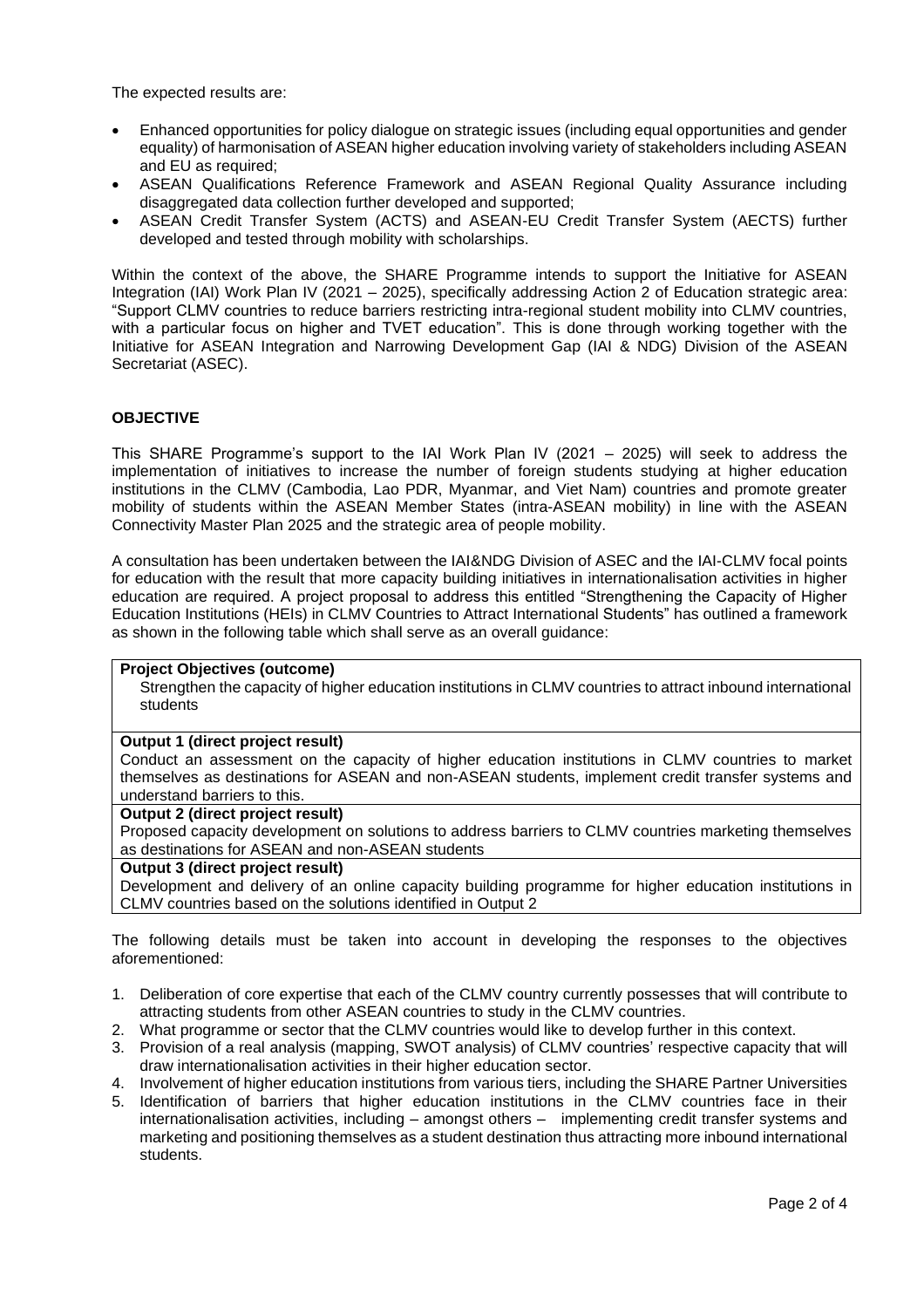The expected results are:

- Enhanced opportunities for policy dialogue on strategic issues (including equal opportunities and gender equality) of harmonisation of ASEAN higher education involving variety of stakeholders including ASEAN and EU as required;
- ASEAN Qualifications Reference Framework and ASEAN Regional Quality Assurance including disaggregated data collection further developed and supported;
- ASEAN Credit Transfer System (ACTS) and ASEAN-EU Credit Transfer System (AECTS) further developed and tested through mobility with scholarships.

Within the context of the above, the SHARE Programme intends to support the Initiative for ASEAN Integration (IAI) Work Plan IV (2021 – 2025), specifically addressing Action 2 of Education strategic area: "Support CLMV countries to reduce barriers restricting intra-regional student mobility into CLMV countries, with a particular focus on higher and TVET education". This is done through working together with the Initiative for ASEAN Integration and Narrowing Development Gap (IAI & NDG) Division of the ASEAN Secretariat (ASEC).

### **OBJECTIVE**

This SHARE Programme's support to the IAI Work Plan IV (2021 – 2025) will seek to address the implementation of initiatives to increase the number of foreign students studying at higher education institutions in the CLMV (Cambodia, Lao PDR, Myanmar, and Viet Nam) countries and promote greater mobility of students within the ASEAN Member States (intra-ASEAN mobility) in line with the ASEAN Connectivity Master Plan 2025 and the strategic area of people mobility.

A consultation has been undertaken between the IAI&NDG Division of ASEC and the IAI-CLMV focal points for education with the result that more capacity building initiatives in internationalisation activities in higher education are required. A project proposal to address this entitled "Strengthening the Capacity of Higher Education Institutions (HEIs) in CLMV Countries to Attract International Students" has outlined a framework as shown in the following table which shall serve as an overall guidance:

### **Project Objectives (outcome)**

Strengthen the capacity of higher education institutions in CLMV countries to attract inbound international students

### **Output 1 (direct project result)**

Conduct an assessment on the capacity of higher education institutions in CLMV countries to market themselves as destinations for ASEAN and non-ASEAN students, implement credit transfer systems and understand barriers to this.

### **Output 2 (direct project result)**

Proposed capacity development on solutions to address barriers to CLMV countries marketing themselves as destinations for ASEAN and non-ASEAN students

#### **Output 3 (direct project result)**

Development and delivery of an online capacity building programme for higher education institutions in CLMV countries based on the solutions identified in Output 2

The following details must be taken into account in developing the responses to the objectives aforementioned:

- 1. Deliberation of core expertise that each of the CLMV country currently possesses that will contribute to attracting students from other ASEAN countries to study in the CLMV countries.
- 2. What programme or sector that the CLMV countries would like to develop further in this context.
- 3. Provision of a real analysis (mapping, SWOT analysis) of CLMV countries' respective capacity that will draw internationalisation activities in their higher education sector.
- 4. Involvement of higher education institutions from various tiers, including the SHARE Partner Universities
- 5. Identification of barriers that higher education institutions in the CLMV countries face in their internationalisation activities, including – amongst others – implementing credit transfer systems and marketing and positioning themselves as a student destination thus attracting more inbound international students.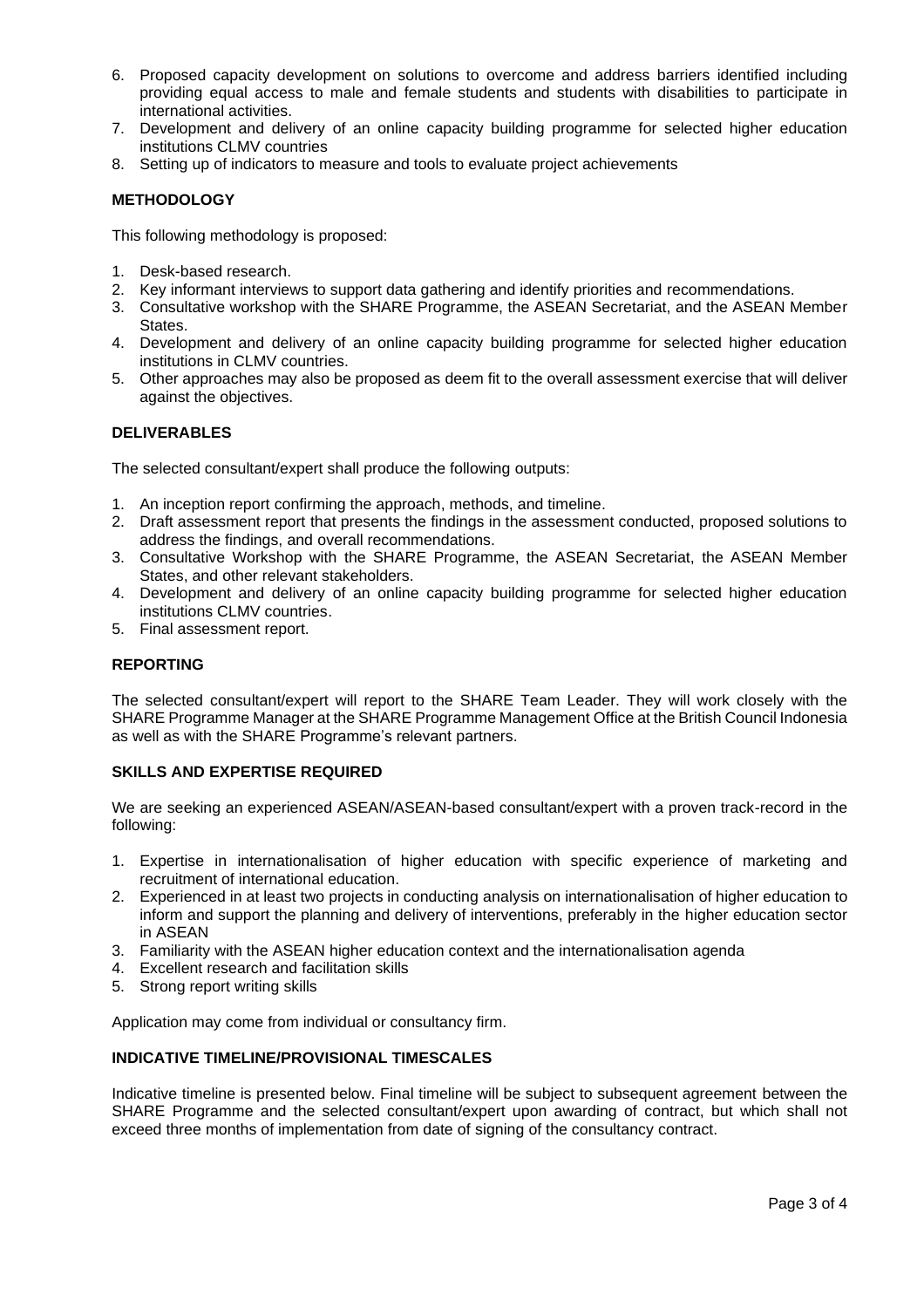- 6. Proposed capacity development on solutions to overcome and address barriers identified including providing equal access to male and female students and students with disabilities to participate in international activities.
- 7. Development and delivery of an online capacity building programme for selected higher education institutions CLMV countries
- 8. Setting up of indicators to measure and tools to evaluate project achievements

### **METHODOLOGY**

This following methodology is proposed:

- 1. Desk-based research.
- 2. Key informant interviews to support data gathering and identify priorities and recommendations.
- 3. Consultative workshop with the SHARE Programme, the ASEAN Secretariat, and the ASEAN Member States.
- 4. Development and delivery of an online capacity building programme for selected higher education institutions in CLMV countries.
- 5. Other approaches may also be proposed as deem fit to the overall assessment exercise that will deliver against the objectives.

### **DELIVERABLES**

The selected consultant/expert shall produce the following outputs:

- 1. An inception report confirming the approach, methods, and timeline.
- 2. Draft assessment report that presents the findings in the assessment conducted, proposed solutions to address the findings, and overall recommendations.
- 3. Consultative Workshop with the SHARE Programme, the ASEAN Secretariat, the ASEAN Member States, and other relevant stakeholders.
- 4. Development and delivery of an online capacity building programme for selected higher education institutions CLMV countries.
- 5. Final assessment report.

### **REPORTING**

The selected consultant/expert will report to the SHARE Team Leader. They will work closely with the SHARE Programme Manager at the SHARE Programme Management Office at the British Council Indonesia as well as with the SHARE Programme's relevant partners.

### **SKILLS AND EXPERTISE REQUIRED**

We are seeking an experienced ASEAN/ASEAN-based consultant/expert with a proven track-record in the following:

- 1. Expertise in internationalisation of higher education with specific experience of marketing and recruitment of international education.
- 2. Experienced in at least two projects in conducting analysis on internationalisation of higher education to inform and support the planning and delivery of interventions, preferably in the higher education sector in ASEAN
- 3. Familiarity with the ASEAN higher education context and the internationalisation agenda
- 4. Excellent research and facilitation skills
- 5. Strong report writing skills

Application may come from individual or consultancy firm.

### **INDICATIVE TIMELINE/PROVISIONAL TIMESCALES**

Indicative timeline is presented below. Final timeline will be subject to subsequent agreement between the SHARE Programme and the selected consultant/expert upon awarding of contract, but which shall not exceed three months of implementation from date of signing of the consultancy contract.